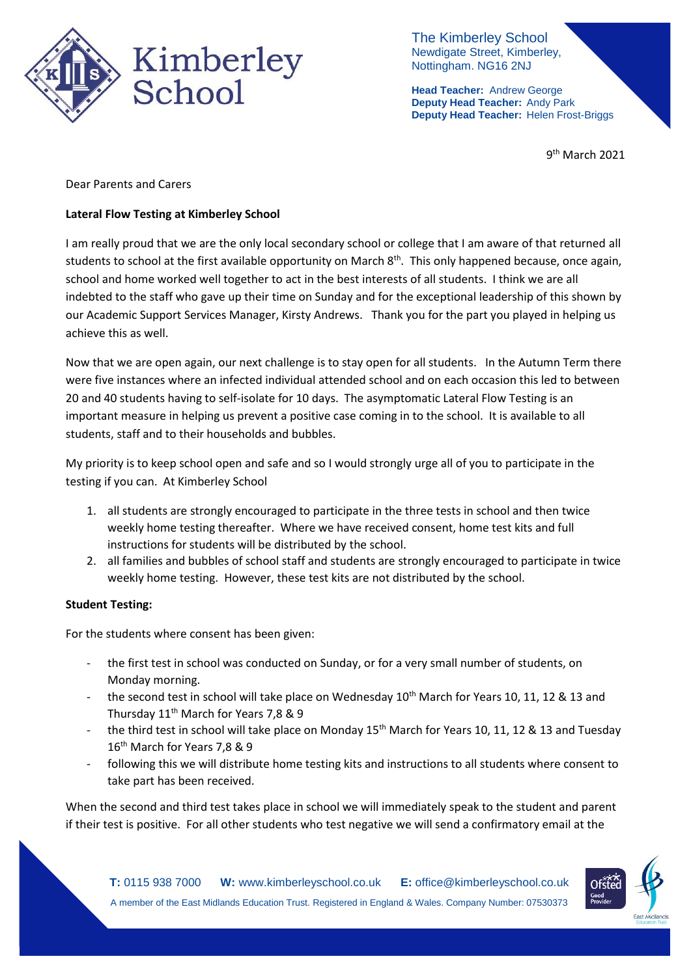

The Kimberley School Newdigate Street, Kimberley, Nottingham. NG16 2NJ

**Head Teacher:** Andrew George **Deputy Head Teacher:** Andy Park **Deputy Head Teacher:** Helen Frost-Briggs

9<sup>th</sup> March 2021

Dear Parents and Carers

## **Lateral Flow Testing at Kimberley School**

I am really proud that we are the only local secondary school or college that I am aware of that returned all students to school at the first available opportunity on March 8<sup>th</sup>. This only happened because, once again, school and home worked well together to act in the best interests of all students. I think we are all indebted to the staff who gave up their time on Sunday and for the exceptional leadership of this shown by our Academic Support Services Manager, Kirsty Andrews. Thank you for the part you played in helping us achieve this as well.

Now that we are open again, our next challenge is to stay open for all students. In the Autumn Term there were five instances where an infected individual attended school and on each occasion this led to between 20 and 40 students having to self-isolate for 10 days. The asymptomatic Lateral Flow Testing is an important measure in helping us prevent a positive case coming in to the school. It is available to all students, staff and to their households and bubbles.

My priority is to keep school open and safe and so I would strongly urge all of you to participate in the testing if you can. At Kimberley School

- 1. all students are strongly encouraged to participate in the three tests in school and then twice weekly home testing thereafter. Where we have received consent, home test kits and full instructions for students will be distributed by the school.
- 2. all families and bubbles of school staff and students are strongly encouraged to participate in twice weekly home testing. However, these test kits are not distributed by the school.

#### **Student Testing:**

For the students where consent has been given:

- the first test in school was conducted on Sunday, or for a very small number of students, on Monday morning.
- the second test in school will take place on Wednesday 10<sup>th</sup> March for Years 10, 11, 12 & 13 and Thursday 11<sup>th</sup> March for Years 7,8 & 9
- the third test in school will take place on Monday 15<sup>th</sup> March for Years 10, 11, 12 & 13 and Tuesday 16<sup>th</sup> March for Years 7.8 & 9
- following this we will distribute home testing kits and instructions to all students where consent to take part has been received.

When the second and third test takes place in school we will immediately speak to the student and parent if their test is positive. For all other students who test negative we will send a confirmatory email at the

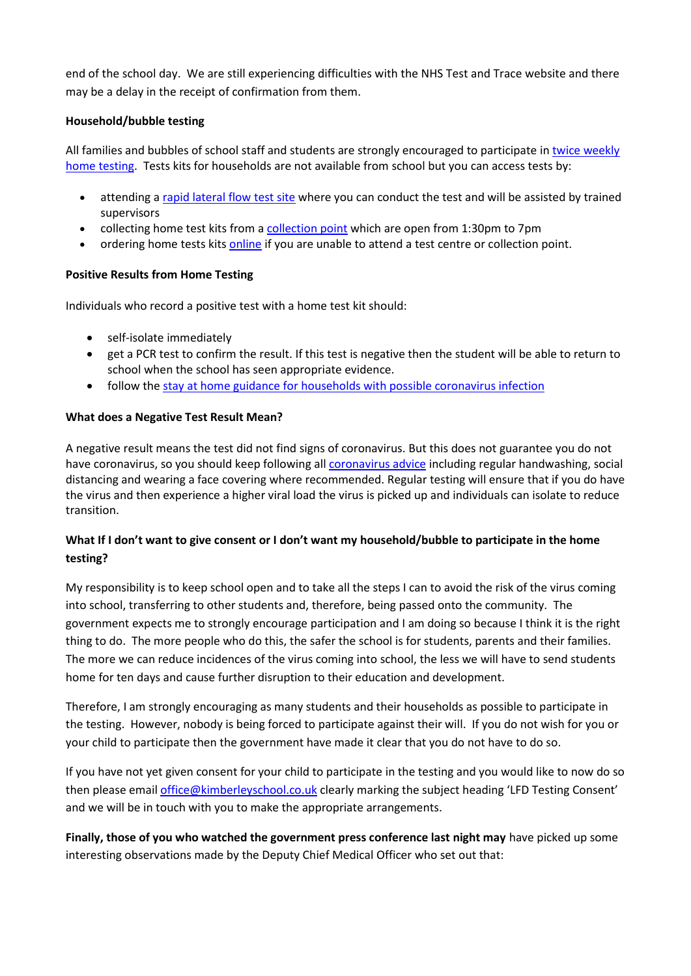end of the school day. We are still experiencing difficulties with the NHS Test and Trace website and there may be a delay in the receipt of confirmation from them.

## **Household/bubble testing**

All families and bubbles of school staff and students are strongly encouraged to participate in twice [weekly](https://www.gov.uk/guidance/rapid-lateral-flow-testing-for-households-and-bubbles-of-school-pupils-and-staff) home [testing.](https://www.gov.uk/guidance/rapid-lateral-flow-testing-for-households-and-bubbles-of-school-pupils-and-staff) Tests kits for households are not available from school but you can access tests by:

- attending a rapid [lateral](https://maps.test-and-trace.nhs.uk/) flow test site where you can conduct the test and will be assisted by trained supervisors
- collecting home test kits from a [collection](https://find-covid-19-rapid-test-sites.maps.test-and-trace.nhs.uk/) point which are open from 1:30pm to 7pm
- ordering home tests kits [online](https://www.gov.uk/order-coronavirus-rapid-lateral-flow-tests) if you are unable to attend a test centre or collection point.

## **Positive Results from Home Testing**

Individuals who record a positive test with a home test kit should:

- self-isolate immediately
- get a PCR test to confirm the result. If this test is negative then the student will be able to return to school when the school has seen appropriate evidence.
- follow the stay at home guidance for households with possible [coronavirus](https://www.gov.uk/government/publications/covid-19-stay-at-home-guidance) infection

## **What does a Negative Test Result Mean?**

A negative result means the test did not find signs of coronavirus. But this does not guarantee you do not have coronavirus, so you should keep following all [coronavirus](https://www.gov.uk/government/publications/how-to-stop-the-spread-of-coronavirus-covid-19/how-to-stop-the-spread-of-coronavirus-covid-19) advice including regular handwashing, social distancing and wearing a face covering where recommended. Regular testing will ensure that if you do have the virus and then experience a higher viral load the virus is picked up and individuals can isolate to reduce transition.

# **What If I don't want to give consent or I don't want my household/bubble to participate in the home testing?**

My responsibility is to keep school open and to take all the steps I can to avoid the risk of the virus coming into school, transferring to other students and, therefore, being passed onto the community. The government expects me to strongly encourage participation and I am doing so because I think it is the right thing to do. The more people who do this, the safer the school is for students, parents and their families. The more we can reduce incidences of the virus coming into school, the less we will have to send students home for ten days and cause further disruption to their education and development.

Therefore, I am strongly encouraging as many students and their households as possible to participate in the testing. However, nobody is being forced to participate against their will. If you do not wish for you or your child to participate then the government have made it clear that you do not have to do so.

If you have not yet given consent for your child to participate in the testing and you would like to now do so then please email [office@kimberleyschool.co.uk](mailto:office@kimberleyschool.co.uk) clearly marking the subject heading 'LFD Testing Consent' and we will be in touch with you to make the appropriate arrangements.

**Finally, those of you who watched the government press conference last night may** have picked up some interesting observations made by the Deputy Chief Medical Officer who set out that: